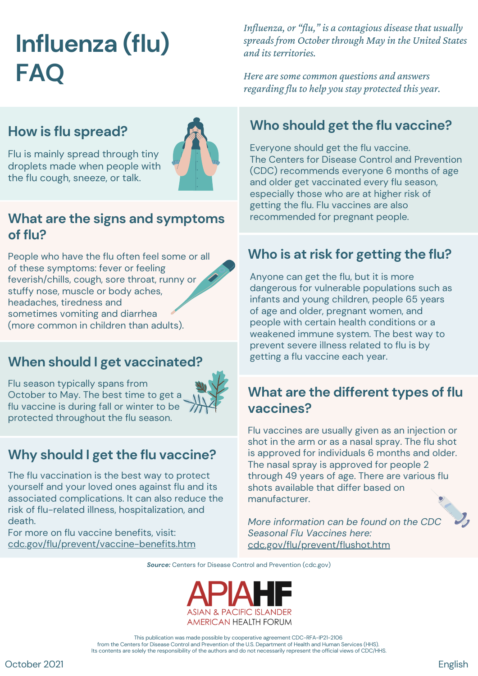# **Influenza (flu) FAQ**

## **How is flu spread?**

Flu is mainly spread through tiny droplets made when people with the flu cough, sneeze, or talk.

#### **What are the signs and symptoms of flu?**

People who have the flu often feel some or all of these symptoms: fever or feeling feverish/chills, cough, sore throat, runny or stuffy nose, muscle or body aches, headaches, tiredness and sometimes vomiting and diarrhea (more common in children than adults).

## **When should I get vaccinated?**

Flu season typically spans from October to May. The best time to get a flu vaccine is during fall or winter to be protected throughout the flu season.



The flu vaccination is the best way to protect yourself and your loved ones against flu and its associated complications. It can also reduce the risk of flu-related illness, hospitalization, and death.

For more on flu vaccine benefits, visit: [cdc.gov/flu/prevent/vaccine-benefits.htm](https://www.cdc.gov/flu/prevent/vaccine-benefits.htm) *Influenza, or "flu," is a contagious disease that usually spreads from October through May in the United States and its territories.*

*Here aresomecommon questions and answers regarding flu to help you stay protected this year.*

# **Who should get the flu vaccine?**

Everyone should get the flu vaccine. The Centers for Disease Control and Prevention (CDC) recommends everyone 6 months of age and older get vaccinated every flu season, especially those who are at higher risk of getting the flu. Flu vaccines are also recommended for pregnant people.

# **Who is at risk for getting the flu?**

Anyone can get the flu, but it is more dangerous for vulnerable populations such as infants and young children, people 65 years of age and older, pregnant women, and people with certain health conditions or a weakened immune system. The best way to prevent severe illness related to flu is by getting a flu vaccine each year.

### **What are the different types of flu vaccines?**

Flu vaccines are usually given as an injection or shot in the arm or as a nasal spray. The flu shot is approved for individuals 6 months and older. The nasal spray is approved for people 2 through 49 years of age. There are various flu shots available that differ based on manufacturer.

*More information can be found on the CDC Seasonal Flu Vaccines here:* [cdc.gov/flu/prevent/flushot.htm](https://www.cdc.gov/flu/prevent/flushot.htm)

*Source:* Centers for Disease Control and Prevention (cdc.gov)



This publication was made possible by cooperative agreement CDC-RFA-IP21-2106 from the Centers for Disease Control and Prevention of the U.S. Department of Health and Human Services (HHS). Its contents are solely the responsibility of the authors and do not necessarily represent the official views of CDC/HHS.